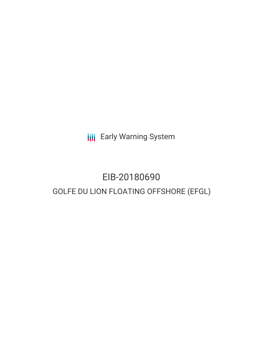**III** Early Warning System

## EIB-20180690 GOLFE DU LION FLOATING OFFSHORE (EFGL)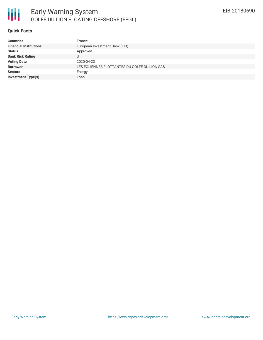

### **Quick Facts**

| <b>Countries</b>              | France                                        |
|-------------------------------|-----------------------------------------------|
| <b>Financial Institutions</b> | European Investment Bank (EIB)                |
| <b>Status</b>                 | Approved                                      |
| <b>Bank Risk Rating</b>       |                                               |
| <b>Voting Date</b>            | 2020-04-23                                    |
| <b>Borrower</b>               | LES EOLIENNES FLOTTANTES DU GOLFE DU LION SAS |
| <b>Sectors</b>                | Energy                                        |
| <b>Investment Type(s)</b>     | Loan                                          |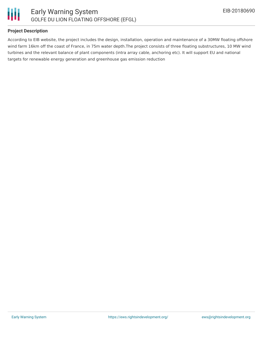

### **Project Description**

According to EIB website, the project includes the design, installation, operation and maintenance of a 30MW floating offshore wind farm 16km off the coast of France, in 75m water depth.The project consists of three floating substructures, 10 MW wind turbines and the relevant balance of plant components (intra array cable, anchoring etc). It will support EU and national targets for renewable energy generation and greenhouse gas emission reduction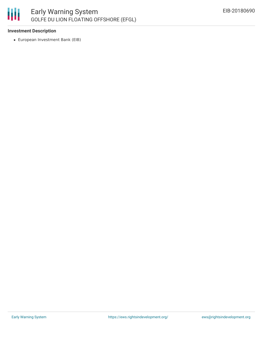

### **Investment Description**

European Investment Bank (EIB)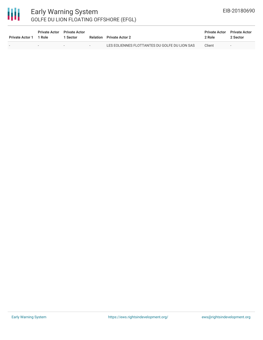# 冊

### Early Warning System GOLFE DU LION FLOATING OFFSHORE (EFGL)

| <b>Private Actor 1</b> | <b>Private Actor</b> Private Actor<br>1 Role | 1 Sector |   | <b>Relation</b> Private Actor 2               | <b>Private Actor</b><br>2 Role | <b>Private Actor</b><br>2 Sector |
|------------------------|----------------------------------------------|----------|---|-----------------------------------------------|--------------------------------|----------------------------------|
|                        | $\sim$                                       | $\sim$   | . | LES EOLIENNES FLOTTANTES DU GOLFE DU LION SAS | Client                         | $\sim$                           |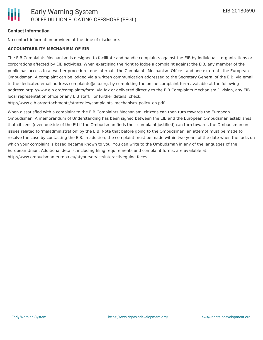### **Contact Information**

No contact information provided at the time of disclosure.

### **ACCOUNTABILITY MECHANISM OF EIB**

The EIB Complaints Mechanism is designed to facilitate and handle complaints against the EIB by individuals, organizations or corporations affected by EIB activities. When exercising the right to lodge a complaint against the EIB, any member of the public has access to a two-tier procedure, one internal - the Complaints Mechanism Office - and one external - the European Ombudsman. A complaint can be lodged via a written communication addressed to the Secretary General of the EIB, via email to the dedicated email address complaints@eib.org, by completing the online complaint form available at the following address: http://www.eib.org/complaints/form, via fax or delivered directly to the EIB Complaints Mechanism Division, any EIB local representation office or any EIB staff. For further details, check:

http://www.eib.org/attachments/strategies/complaints\_mechanism\_policy\_en.pdf

When dissatisfied with a complaint to the EIB Complaints Mechanism, citizens can then turn towards the European Ombudsman. A memorandum of Understanding has been signed between the EIB and the European Ombudsman establishes that citizens (even outside of the EU if the Ombudsman finds their complaint justified) can turn towards the Ombudsman on issues related to 'maladministration' by the EIB. Note that before going to the Ombudsman, an attempt must be made to resolve the case by contacting the EIB. In addition, the complaint must be made within two years of the date when the facts on which your complaint is based became known to you. You can write to the Ombudsman in any of the languages of the European Union. Additional details, including filing requirements and complaint forms, are available at: http://www.ombudsman.europa.eu/atyourservice/interactiveguide.faces